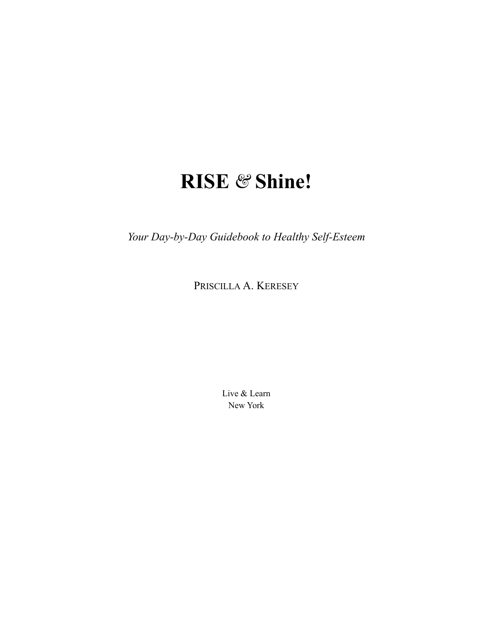# **RISE** *&* **Shine!**

*Your Day-by-Day Guidebook to Healthy Self-Esteem*

PRISCILLA A. KERESEY

Live & Learn New York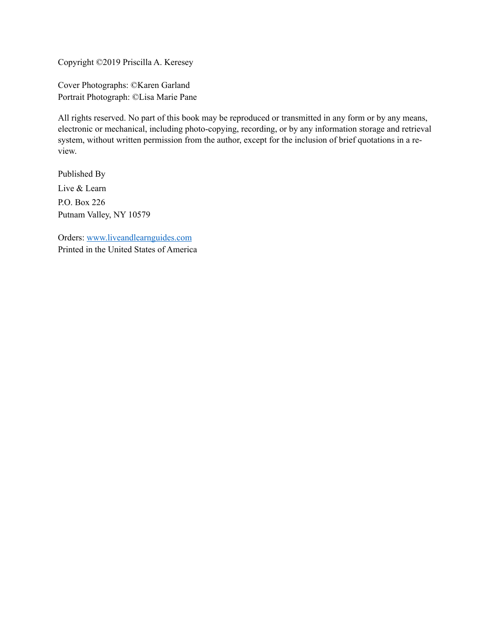Copyright ©2019 Priscilla A. Keresey

Cover Photographs: ©Karen Garland Portrait Photograph: ©Lisa Marie Pane

All rights reserved. No part of this book may be reproduced or transmitted in any form or by any means, electronic or mechanical, including photo-copying, recording, or by any information storage and retrieval system, without written permission from the author, except for the inclusion of brief quotations in a review.

Published By Live & Learn P.O. Box 226 Putnam Valley, NY 10579

Orders: [www.liveandlearnguides.com](http://www.liveandlearnguides.com) Printed in the United States of America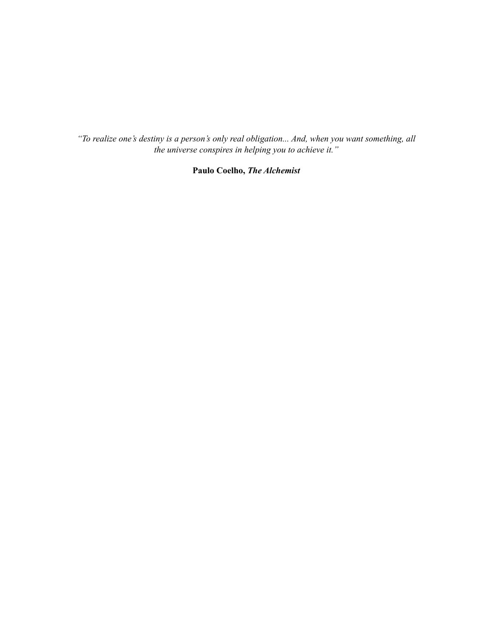*"To realize one's destiny is a person's only real obligation... And, when you want something, all the universe conspires in helping you to achieve it."*

**Paulo Coelho,** *The Alchemist*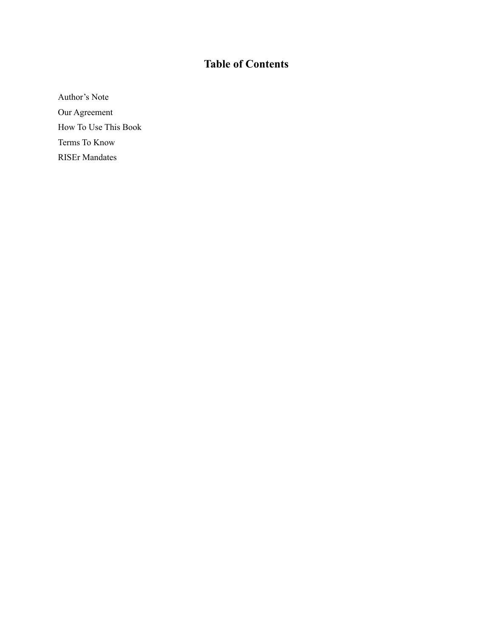# **Table of Contents**

[Author's Note](#page-4-0) [Our Agreement](#page-5-0) [How To Use This Book](#page-6-0) [Terms To Know](#page-8-0) [RISEr Mandates](#page-16-0)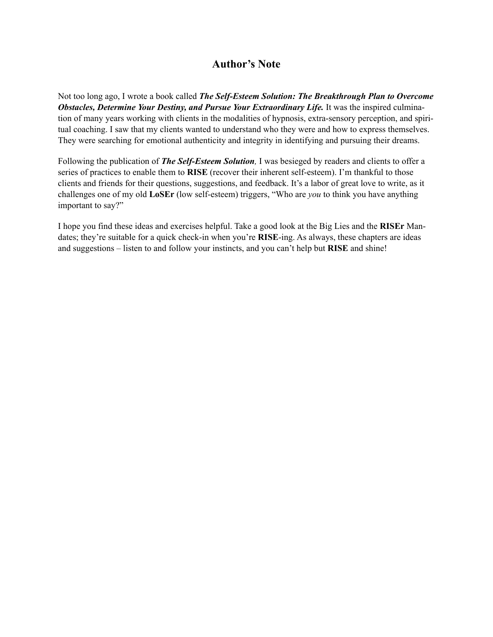# <span id="page-4-0"></span>**Author's Note**

Not too long ago, I wrote a book called *The Self-Esteem Solution: The Breakthrough Plan to Overcome Obstacles, Determine Your Destiny, and Pursue Your Extraordinary Life.* It was the inspired culmination of many years working with clients in the modalities of hypnosis, extra-sensory perception, and spiritual coaching. I saw that my clients wanted to understand who they were and how to express themselves. They were searching for emotional authenticity and integrity in identifying and pursuing their dreams.

Following the publication of *The Self-Esteem Solution*, I was besieged by readers and clients to offer a series of practices to enable them to **RISE** (recover their inherent self-esteem). I'm thankful to those clients and friends for their questions, suggestions, and feedback. It's a labor of great love to write, as it challenges one of my old **LoSEr** (low self-esteem) triggers, "Who are *you* to think you have anything important to say?"

I hope you find these ideas and exercises helpful. Take a good look at the Big Lies and the **RISEr** Mandates; they're suitable for a quick check-in when you're **RISE**-ing. As always, these chapters are ideas and suggestions – listen to and follow your instincts, and you can't help but **RISE** and shine!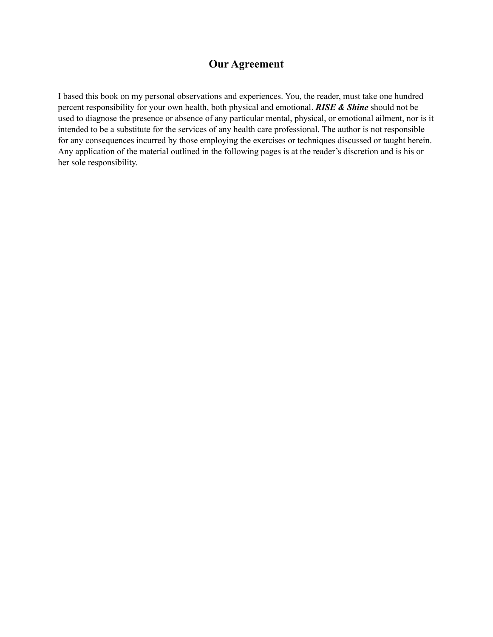# <span id="page-5-0"></span>**Our Agreement**

I based this book on my personal observations and experiences. You, the reader, must take one hundred percent responsibility for your own health, both physical and emotional. *RISE & Shine* should not be used to diagnose the presence or absence of any particular mental, physical, or emotional ailment, nor is it intended to be a substitute for the services of any health care professional. The author is not responsible for any consequences incurred by those employing the exercises or techniques discussed or taught herein. Any application of the material outlined in the following pages is at the reader's discretion and is his or her sole responsibility.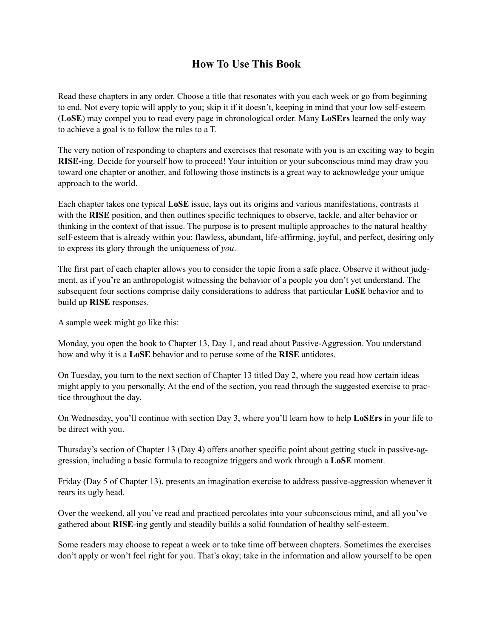# <span id="page-6-0"></span>**How To Use This Book**

Read these chapters in any order. Choose a title that resonates with you each week or go from beginning to end. Not every topic will apply to you; skip it if it doesn't, keeping in mind that your low self-esteem (**LoSE**) may compel you to read every page in chronological order. Many **LoSErs** learned the only way to achieve a goal is to follow the rules to a T.

The very notion of responding to chapters and exercises that resonate with you is an exciting way to begin **RISE-**ing. Decide for yourself how to proceed! Your intuition or your subconscious mind may draw you toward one chapter or another, and following those instincts is a great way to acknowledge your unique approach to the world.

Each chapter takes one typical **LoSE** issue, lays out its origins and various manifestations, contrasts it with the **RISE** position, and then outlines specific techniques to observe, tackle, and alter behavior or thinking in the context of that issue. The purpose is to present multiple approaches to the natural healthy self-esteem that is already within you: flawless, abundant, life-affirming, joyful, and perfect, desiring only to express its glory through the uniqueness of *you*.

The first part of each chapter allows you to consider the topic from a safe place. Observe it without judgment, as if you're an anthropologist witnessing the behavior of a people you don't yet understand. The subsequent four sections comprise daily considerations to address that particular **LoSE** behavior and to build up **RISE** responses.

A sample week might go like this:

Monday, you open the book to Chapter 13, Day 1, and read about Passive-Aggression. You understand how and why it is a **LoSE** behavior and to peruse some of the **RISE** antidotes.

On Tuesday, you turn to the next section of Chapter 13 titled Day 2, where you read how certain ideas might apply to you personally. At the end of the section, you read through the suggested exercise to practice throughout the day.

On Wednesday, you'll continue with section Day 3, where you'll learn how to help **LoSErs** in your life to be direct with you.

Thursday's section of Chapter 13 (Day 4) offers another specific point about getting stuck in passive-aggression, including a basic formula to recognize triggers and work through a **LoSE** moment.

Friday (Day 5 of Chapter 13), presents an imagination exercise to address passive-aggression whenever it rears its ugly head.

Over the weekend, all you've read and practiced percolates into your subconscious mind, and all you've gathered about **RISE**-ing gently and steadily builds a solid foundation of healthy self-esteem.

Some readers may choose to repeat a week or to take time off between chapters. Sometimes the exercises don't apply or won't feel right for you. That's okay; take in the information and allow yourself to be open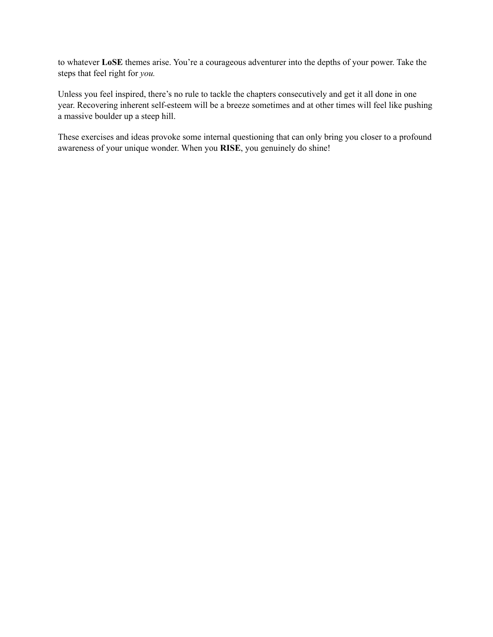to whatever **LoSE** themes arise. You're a courageous adventurer into the depths of your power. Take the steps that feel right for *you.*

Unless you feel inspired, there's no rule to tackle the chapters consecutively and get it all done in one year. Recovering inherent self-esteem will be a breeze sometimes and at other times will feel like pushing a massive boulder up a steep hill.

These exercises and ideas provoke some internal questioning that can only bring you closer to a profound awareness of your unique wonder. When you **RISE**, you genuinely do shine!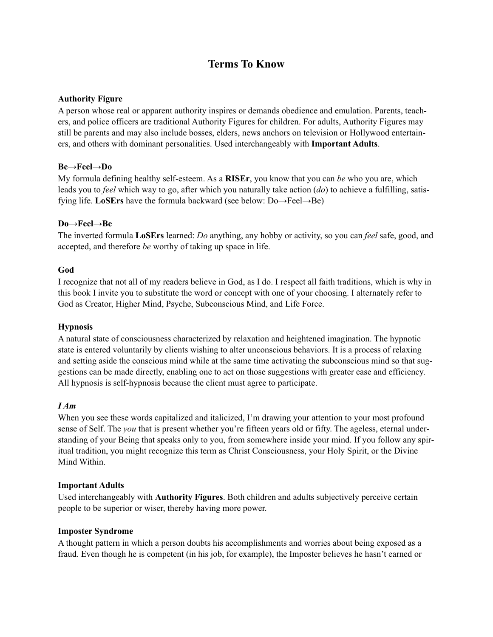# <span id="page-8-0"></span>**Terms To Know**

# **Authority Figure**

A person whose real or apparent authority inspires or demands obedience and emulation. Parents, teachers, and police officers are traditional Authority Figures for children. For adults, Authority Figures may still be parents and may also include bosses, elders, news anchors on television or Hollywood entertainers, and others with dominant personalities. Used interchangeably with **Important Adults**.

# **Be→Feel→Do**

My formula defining healthy self-esteem. As a **RISEr**, you know that you can *be* who you are, which leads you to *feel* which way to go, after which you naturally take action (*do*) to achieve a fulfilling, satisfying life. **LoSErs** have the formula backward (see below: Do→Feel→Be)

# **Do→Feel→Be**

The inverted formula **LoSErs** learned: *Do* anything, any hobby or activity, so you can *feel* safe, good, and accepted, and therefore *be* worthy of taking up space in life.

# **God**

I recognize that not all of my readers believe in God, as I do. I respect all faith traditions, which is why in this book I invite you to substitute the word or concept with one of your choosing. I alternately refer to God as Creator, Higher Mind, Psyche, Subconscious Mind, and Life Force.

# **Hypnosis**

A natural state of consciousness characterized by relaxation and heightened imagination. The hypnotic state is entered voluntarily by clients wishing to alter unconscious behaviors. It is a process of relaxing and setting aside the conscious mind while at the same time activating the subconscious mind so that suggestions can be made directly, enabling one to act on those suggestions with greater ease and efficiency. All hypnosis is self-hypnosis because the client must agree to participate.

# *I Am*

When you see these words capitalized and italicized, I'm drawing your attention to your most profound sense of Self. The *you* that is present whether you're fifteen years old or fifty. The ageless, eternal understanding of your Being that speaks only to you, from somewhere inside your mind. If you follow any spiritual tradition, you might recognize this term as Christ Consciousness, your Holy Spirit, or the Divine Mind Within.

# **Important Adults**

Used interchangeably with **Authority Figures**. Both children and adults subjectively perceive certain people to be superior or wiser, thereby having more power.

# **Imposter Syndrome**

A thought pattern in which a person doubts his accomplishments and worries about being exposed as a fraud. Even though he is competent (in his job, for example), the Imposter believes he hasn't earned or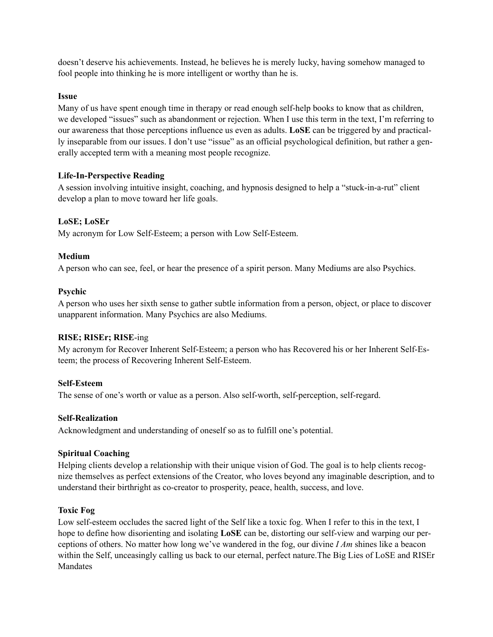doesn't deserve his achievements. Instead, he believes he is merely lucky, having somehow managed to fool people into thinking he is more intelligent or worthy than he is.

# **Issue**

Many of us have spent enough time in therapy or read enough self-help books to know that as children, we developed "issues" such as abandonment or rejection. When I use this term in the text, I'm referring to our awareness that those perceptions influence us even as adults. **LoSE** can be triggered by and practically inseparable from our issues. I don't use "issue" as an official psychological definition, but rather a generally accepted term with a meaning most people recognize.

# **Life-In-Perspective Reading**

A session involving intuitive insight, coaching, and hypnosis designed to help a "stuck-in-a-rut" client develop a plan to move toward her life goals.

# **LoSE; LoSEr**

My acronym for Low Self-Esteem; a person with Low Self-Esteem.

# **Medium**

A person who can see, feel, or hear the presence of a spirit person. Many Mediums are also Psychics.

# **Psychic**

A person who uses her sixth sense to gather subtle information from a person, object, or place to discover unapparent information. Many Psychics are also Mediums.

# **RISE; RISEr; RISE**-ing

My acronym for Recover Inherent Self-Esteem; a person who has Recovered his or her Inherent Self-Esteem; the process of Recovering Inherent Self-Esteem.

# **Self-Esteem**

The sense of one's worth or value as a person. Also self-worth, self-perception, self-regard.

# **Self-Realization**

Acknowledgment and understanding of oneself so as to fulfill one's potential.

# **Spiritual Coaching**

Helping clients develop a relationship with their unique vision of God. The goal is to help clients recognize themselves as perfect extensions of the Creator, who loves beyond any imaginable description, and to understand their birthright as co-creator to prosperity, peace, health, success, and love.

# **Toxic Fog**

Low self-esteem occludes the sacred light of the Self like a toxic fog. When I refer to this in the text, I hope to define how disorienting and isolating **LoSE** can be, distorting our self-view and warping our perceptions of others. No matter how long we've wandered in the fog, our divine *I Am* shines like a beacon within the Self, unceasingly calling us back to our eternal, perfect nature.The Big Lies of LoSE and RISEr Mandates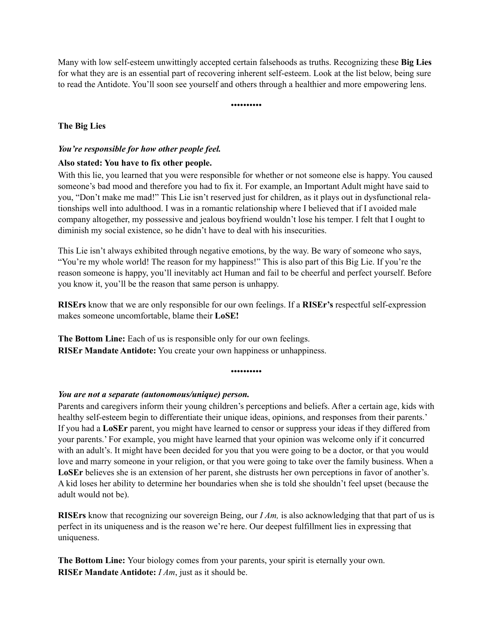Many with low self-esteem unwittingly accepted certain falsehoods as truths. Recognizing these **Big Lies** for what they are is an essential part of recovering inherent self-esteem. Look at the list below, being sure to read the Antidote. You'll soon see yourself and others through a healthier and more empowering lens.

••••••••••

# **The Big Lies**

# *You're responsible for how other people feel.*

# **Also stated: You have to fix other people.**

With this lie, you learned that you were responsible for whether or not someone else is happy. You caused someone's bad mood and therefore you had to fix it. For example, an Important Adult might have said to you, "Don't make me mad!" This Lie isn't reserved just for children, as it plays out in dysfunctional relationships well into adulthood. I was in a romantic relationship where I believed that if I avoided male company altogether, my possessive and jealous boyfriend wouldn't lose his temper. I felt that I ought to diminish my social existence, so he didn't have to deal with his insecurities.

This Lie isn't always exhibited through negative emotions, by the way. Be wary of someone who says, "You're my whole world! The reason for my happiness!" This is also part of this Big Lie. If you're the reason someone is happy, you'll inevitably act Human and fail to be cheerful and perfect yourself. Before you know it, you'll be the reason that same person is unhappy.

**RISErs** know that we are only responsible for our own feelings. If a **RISEr's** respectful self-expression makes someone uncomfortable, blame their **LoSE!**

**The Bottom Line:** Each of us is responsible only for our own feelings. **RISEr Mandate Antidote:** You create your own happiness or unhappiness.

••••••••••

# *You are not a separate (autonomous/unique) person.*

Parents and caregivers inform their young children's perceptions and beliefs. After a certain age, kids with healthy self-esteem begin to differentiate their unique ideas, opinions, and responses from their parents.' If you had a **LoSEr** parent, you might have learned to censor or suppress your ideas if they differed from your parents.' For example, you might have learned that your opinion was welcome only if it concurred with an adult's. It might have been decided for you that you were going to be a doctor, or that you would love and marry someone in your religion, or that you were going to take over the family business. When a **LoSEr** believes she is an extension of her parent, she distrusts her own perceptions in favor of another's. A kid loses her ability to determine her boundaries when she is told she shouldn't feel upset (because the adult would not be).

**RISErs** know that recognizing our sovereign Being, our *I Am,* is also acknowledging that that part of us is perfect in its uniqueness and is the reason we're here. Our deepest fulfillment lies in expressing that uniqueness.

**The Bottom Line:** Your biology comes from your parents, your spirit is eternally your own. **RISEr Mandate Antidote:** *I Am*, just as it should be.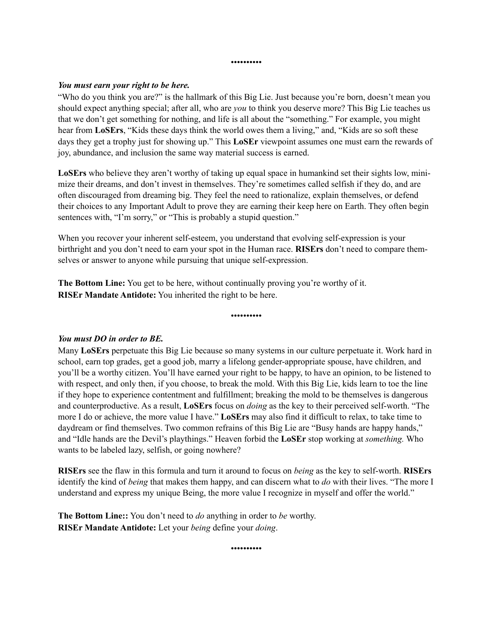#### *You must earn your right to be here.*

"Who do you think you are?" is the hallmark of this Big Lie. Just because you're born, doesn't mean you should expect anything special; after all, who are *you* to think you deserve more? This Big Lie teaches us that we don't get something for nothing, and life is all about the "something." For example, you might hear from **LoSErs**, "Kids these days think the world owes them a living," and, "Kids are so soft these days they get a trophy just for showing up." This **LoSEr** viewpoint assumes one must earn the rewards of joy, abundance, and inclusion the same way material success is earned.

••••••••••

**LoSErs** who believe they aren't worthy of taking up equal space in humankind set their sights low, minimize their dreams, and don't invest in themselves. They're sometimes called selfish if they do, and are often discouraged from dreaming big. They feel the need to rationalize, explain themselves, or defend their choices to any Important Adult to prove they are earning their keep here on Earth. They often begin sentences with, "I'm sorry," or "This is probably a stupid question."

When you recover your inherent self-esteem, you understand that evolving self-expression is your birthright and you don't need to earn your spot in the Human race. **RISErs** don't need to compare themselves or answer to anyone while pursuing that unique self-expression.

**The Bottom Line:** You get to be here, without continually proving you're worthy of it. **RISEr Mandate Antidote:** You inherited the right to be here.

••••••••••

# *You must DO in order to BE.*

Many **LoSErs** perpetuate this Big Lie because so many systems in our culture perpetuate it. Work hard in school, earn top grades, get a good job, marry a lifelong gender-appropriate spouse, have children, and you'll be a worthy citizen. You'll have earned your right to be happy, to have an opinion, to be listened to with respect, and only then, if you choose, to break the mold. With this Big Lie, kids learn to toe the line if they hope to experience contentment and fulfillment; breaking the mold to be themselves is dangerous and counterproductive. As a result, **LoSErs** focus on *doing* as the key to their perceived self-worth. "The more I do or achieve, the more value I have." **LoSErs** may also find it difficult to relax, to take time to daydream or find themselves. Two common refrains of this Big Lie are "Busy hands are happy hands," and "Idle hands are the Devil's playthings." Heaven forbid the **LoSEr** stop working at *something.* Who wants to be labeled lazy, selfish, or going nowhere?

**RISErs** see the flaw in this formula and turn it around to focus on *being* as the key to self-worth. **RISErs** identify the kind of *being* that makes them happy, and can discern what to *do* with their lives. "The more I understand and express my unique Being, the more value I recognize in myself and offer the world."

**The Bottom Line::** You don't need to *do* anything in order to *be* worthy. **RISEr Mandate Antidote:** Let your *being* define your *doing*.

••••••••••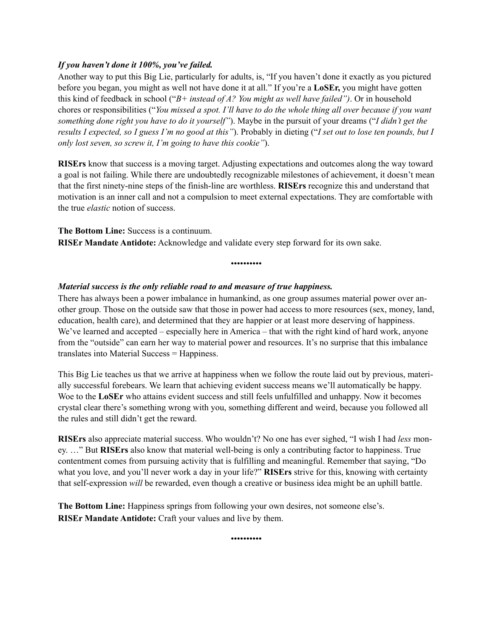# *If you haven't done it 100%, you've failed.*

Another way to put this Big Lie, particularly for adults, is, "If you haven't done it exactly as you pictured before you began, you might as well not have done it at all." If you're a **LoSEr,** you might have gotten this kind of feedback in school ("*B+ instead of A? You might as well have failed")*. Or in household chores or responsibilities ("*You missed a spot. I'll have to do the whole thing all over because if you want something done right you have to do it yourself"*). Maybe in the pursuit of your dreams ("*I didn't get the results I expected, so I guess I'm no good at this"*). Probably in dieting ("*I set out to lose ten pounds, but I only lost seven, so screw it, I'm going to have this cookie"*).

**RISErs** know that success is a moving target. Adjusting expectations and outcomes along the way toward a goal is not failing. While there are undoubtedly recognizable milestones of achievement, it doesn't mean that the first ninety-nine steps of the finish-line are worthless. **RISErs** recognize this and understand that motivation is an inner call and not a compulsion to meet external expectations. They are comfortable with the true *elastic* notion of success.

**The Bottom Line:** Success is a continuum. **RISEr Mandate Antidote:** Acknowledge and validate every step forward for its own sake.

••••••••••

# *Material success is the only reliable road to and measure of true happiness.*

There has always been a power imbalance in humankind, as one group assumes material power over another group. Those on the outside saw that those in power had access to more resources (sex, money, land, education, health care), and determined that they are happier or at least more deserving of happiness. We've learned and accepted – especially here in America – that with the right kind of hard work, anyone from the "outside" can earn her way to material power and resources. It's no surprise that this imbalance translates into Material Success = Happiness.

This Big Lie teaches us that we arrive at happiness when we follow the route laid out by previous, materially successful forebears. We learn that achieving evident success means we'll automatically be happy. Woe to the **LoSEr** who attains evident success and still feels unfulfilled and unhappy. Now it becomes crystal clear there's something wrong with you, something different and weird, because you followed all the rules and still didn't get the reward.

**RISErs** also appreciate material success. Who wouldn't? No one has ever sighed, "I wish I had *less* money. …" But **RISErs** also know that material well-being is only a contributing factor to happiness. True contentment comes from pursuing activity that is fulfilling and meaningful. Remember that saying, "Do what you love, and you'll never work a day in your life?" **RISErs** strive for this, knowing with certainty that self-expression *will* be rewarded, even though a creative or business idea might be an uphill battle.

**The Bottom Line:** Happiness springs from following your own desires, not someone else's. **RISEr Mandate Antidote:** Craft your values and live by them.

••••••••••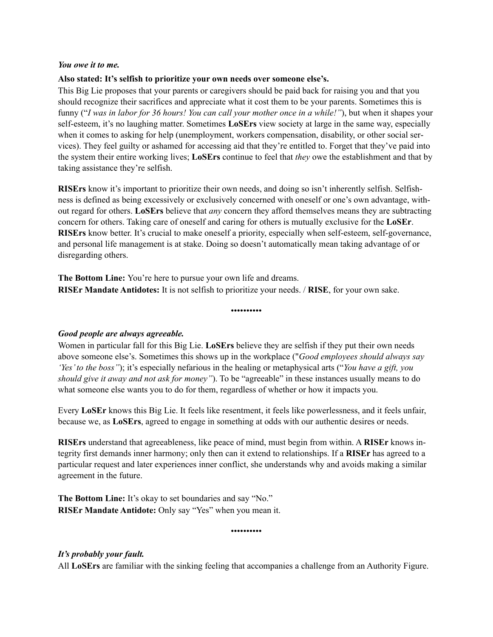#### *You owe it to me.*

## **Also stated: It's selfish to prioritize your own needs over someone else's.**

This Big Lie proposes that your parents or caregivers should be paid back for raising you and that you should recognize their sacrifices and appreciate what it cost them to be your parents. Sometimes this is funny ("*I was in labor for 36 hours! You can call your mother once in a while!"*), but when it shapes your self-esteem, it's no laughing matter. Sometimes **LoSErs** view society at large in the same way, especially when it comes to asking for help (unemployment, workers compensation, disability, or other social services). They feel guilty or ashamed for accessing aid that they're entitled to. Forget that they've paid into the system their entire working lives; **LoSErs** continue to feel that *they* owe the establishment and that by taking assistance they're selfish.

**RISErs** know it's important to prioritize their own needs, and doing so isn't inherently selfish. Selfishness is defined as being excessively or exclusively concerned with oneself or one's own advantage, without regard for others. **LoSErs** believe that *any* concern they afford themselves means they are subtracting concern for others. Taking care of oneself and caring for others is mutually exclusive for the **LoSEr**. **RISErs** know better. It's crucial to make oneself a priority, especially when self-esteem, self-governance, and personal life management is at stake. Doing so doesn't automatically mean taking advantage of or disregarding others.

**The Bottom Line:** You're here to pursue your own life and dreams. **RISEr Mandate Antidotes:** It is not selfish to prioritize your needs. / **RISE**, for your own sake.

# *Good people are always agreeable.*

Women in particular fall for this Big Lie. **LoSErs** believe they are selfish if they put their own needs above someone else's. Sometimes this shows up in the workplace ("*Good employees should always say 'Yes' to the boss"*); it's especially nefarious in the healing or metaphysical arts ("*You have a gift, you should give it away and not ask for money"*). To be "agreeable" in these instances usually means to do what someone else wants you to do for them, regardless of whether or how it impacts you.

••••••••••

Every **LoSEr** knows this Big Lie. It feels like resentment, it feels like powerlessness, and it feels unfair, because we, as **LoSErs**, agreed to engage in something at odds with our authentic desires or needs.

**RISErs** understand that agreeableness, like peace of mind, must begin from within. A **RISEr** knows integrity first demands inner harmony; only then can it extend to relationships. If a **RISEr** has agreed to a particular request and later experiences inner conflict, she understands why and avoids making a similar agreement in the future.

**The Bottom Line:** It's okay to set boundaries and say "No." **RISEr Mandate Antidote:** Only say "Yes" when you mean it.

••••••••••

# *It's probably your fault.*

All **LoSErs** are familiar with the sinking feeling that accompanies a challenge from an Authority Figure.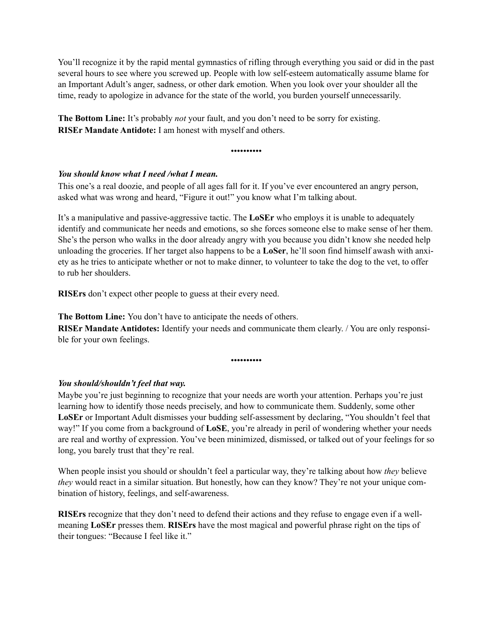You'll recognize it by the rapid mental gymnastics of rifling through everything you said or did in the past several hours to see where you screwed up. People with low self-esteem automatically assume blame for an Important Adult's anger, sadness, or other dark emotion. When you look over your shoulder all the time, ready to apologize in advance for the state of the world, you burden yourself unnecessarily.

**The Bottom Line:** It's probably *not* your fault, and you don't need to be sorry for existing. **RISEr Mandate Antidote:** I am honest with myself and others.

••••••••••

# *You should know what I need /what I mean.*

This one's a real doozie, and people of all ages fall for it. If you've ever encountered an angry person, asked what was wrong and heard, "Figure it out!" you know what I'm talking about.

It's a manipulative and passive-aggressive tactic. The **LoSEr** who employs it is unable to adequately identify and communicate her needs and emotions, so she forces someone else to make sense of her them. She's the person who walks in the door already angry with you because you didn't know she needed help unloading the groceries. If her target also happens to be a **LoSer**, he'll soon find himself awash with anxiety as he tries to anticipate whether or not to make dinner, to volunteer to take the dog to the vet, to offer to rub her shoulders.

**RISErs** don't expect other people to guess at their every need.

**The Bottom Line:** You don't have to anticipate the needs of others.

**RISEr Mandate Antidotes:** Identify your needs and communicate them clearly. */ You are only responsi*ble for your own feelings.

••••••••••

# *You should/shouldn't feel that way.*

Maybe you're just beginning to recognize that your needs are worth your attention. Perhaps you're just learning how to identify those needs precisely, and how to communicate them. Suddenly, some other **LoSEr** or Important Adult dismisses your budding self-assessment by declaring, "You shouldn't feel that way!" If you come from a background of **LoSE**, you're already in peril of wondering whether your needs are real and worthy of expression. You've been minimized, dismissed, or talked out of your feelings for so long, you barely trust that they're real.

When people insist you should or shouldn't feel a particular way, they're talking about how *they* believe *they* would react in a similar situation. But honestly, how can they know? They're not your unique combination of history, feelings, and self-awareness.

**RISErs** recognize that they don't need to defend their actions and they refuse to engage even if a wellmeaning **LoSEr** presses them. **RISErs** have the most magical and powerful phrase right on the tips of their tongues: "Because I feel like it."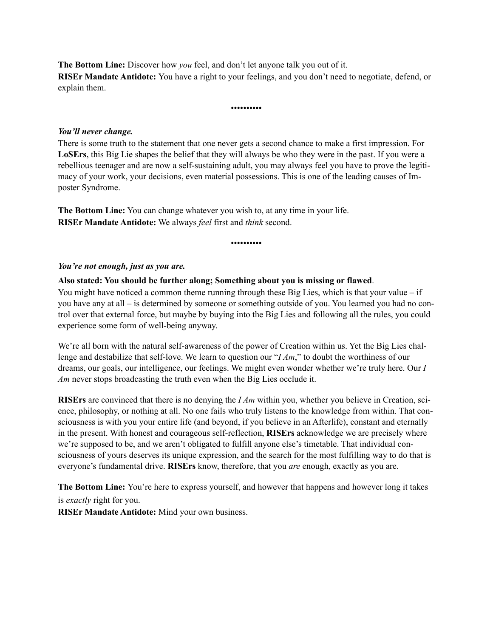**The Bottom Line:** Discover how *you* feel, and don't let anyone talk you out of it. **RISEr Mandate Antidote:** You have a right to your feelings, and you don't need to negotiate, defend, or explain them.

••••••••••

#### *You'll never change.*

There is some truth to the statement that one never gets a second chance to make a first impression. For **LoSErs**, this Big Lie shapes the belief that they will always be who they were in the past. If you were a rebellious teenager and are now a self-sustaining adult, you may always feel you have to prove the legitimacy of your work, your decisions, even material possessions. This is one of the leading causes of Imposter Syndrome.

**The Bottom Line:** You can change whatever you wish to, at any time in your life. **RISEr Mandate Antidote:** We always *feel* first and *think* second.

#### ••••••••••

#### *You're not enough, just as you are.*

#### **Also stated: You should be further along; Something about you is missing or flawed**.

You might have noticed a common theme running through these Big Lies, which is that your value – if you have any at all – is determined by someone or something outside of you. You learned you had no control over that external force, but maybe by buying into the Big Lies and following all the rules, you could experience some form of well-being anyway.

We're all born with the natural self-awareness of the power of Creation within us. Yet the Big Lies challenge and destabilize that self-love. We learn to question our "*I Am*," to doubt the worthiness of our dreams, our goals, our intelligence, our feelings. We might even wonder whether we're truly here. Our *I Am* never stops broadcasting the truth even when the Big Lies occlude it.

**RISErs** are convinced that there is no denying the *I Am* within you, whether you believe in Creation, science, philosophy, or nothing at all. No one fails who truly listens to the knowledge from within. That consciousness is with you your entire life (and beyond, if you believe in an Afterlife), constant and eternally in the present. With honest and courageous self-reflection, **RISErs** acknowledge we are precisely where we're supposed to be, and we aren't obligated to fulfill anyone else's timetable. That individual consciousness of yours deserves its unique expression, and the search for the most fulfilling way to do that is everyone's fundamental drive. **RISErs** know, therefore, that you *are* enough, exactly as you are.

**The Bottom Line:** You're here to express yourself, and however that happens and however long it takes is *exactly* right for you.

**RISEr Mandate Antidote:** Mind your own business.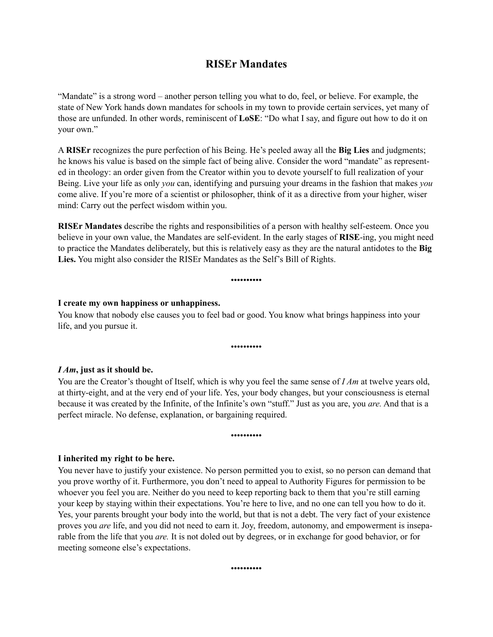# <span id="page-16-0"></span>**RISEr Mandates**

"Mandate" is a strong word – another person telling you what to do, feel, or believe. For example, the state of New York hands down mandates for schools in my town to provide certain services, yet many of those are unfunded. In other words, reminiscent of **LoSE**: "Do what I say, and figure out how to do it on your own."

A **RISEr** recognizes the pure perfection of his Being. He's peeled away all the **Big Lies** and judgments; he knows his value is based on the simple fact of being alive. Consider the word "mandate" as represented in theology: an order given from the Creator within you to devote yourself to full realization of your Being. Live your life as only *you* can, identifying and pursuing your dreams in the fashion that makes *you* come alive. If you're more of a scientist or philosopher, think of it as a directive from your higher, wiser mind: Carry out the perfect wisdom within you.

**RISEr Mandates** describe the rights and responsibilities of a person with healthy self-esteem. Once you believe in your own value, the Mandates are self-evident. In the early stages of **RISE**-ing, you might need to practice the Mandates deliberately, but this is relatively easy as they are the natural antidotes to the **Big Lies.** You might also consider the RISEr Mandates as the Self's Bill of Rights.

#### ••••••••••

#### **I create my own happiness or unhappiness.**

You know that nobody else causes you to feel bad or good. You know what brings happiness into your life, and you pursue it.

••••••••••

#### *I Am***, just as it should be.**

You are the Creator's thought of Itself, which is why you feel the same sense of *I Am* at twelve years old, at thirty-eight, and at the very end of your life. Yes, your body changes, but your consciousness is eternal because it was created by the Infinite, of the Infinite's own "stuff." Just as you are, you *are.* And that is a perfect miracle. No defense, explanation, or bargaining required.

#### ••••••••••

#### **I inherited my right to be here.**

You never have to justify your existence. No person permitted you to exist, so no person can demand that you prove worthy of it. Furthermore, you don't need to appeal to Authority Figures for permission to be whoever you feel you are. Neither do you need to keep reporting back to them that you're still earning your keep by staying within their expectations. You're here to live, and no one can tell you how to do it. Yes, your parents brought your body into the world, but that is not a debt. The very fact of your existence proves you *are* life, and you did not need to earn it. Joy, freedom, autonomy, and empowerment is inseparable from the life that you *are.* It is not doled out by degrees, or in exchange for good behavior, or for meeting someone else's expectations.

••••••••••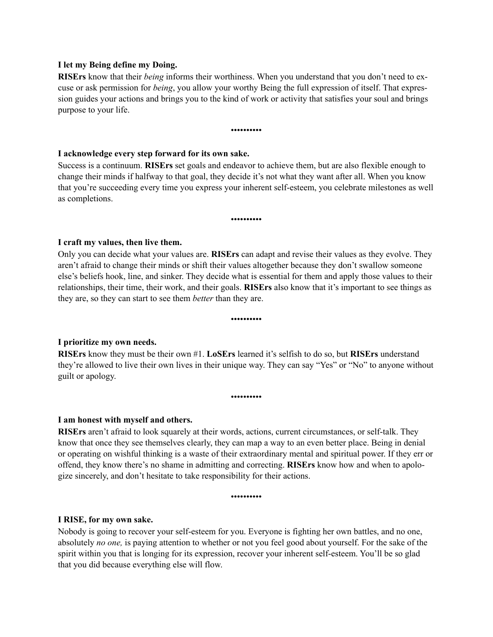#### **I let my Being define my Doing.**

**RISErs** know that their *being* informs their worthiness. When you understand that you don't need to excuse or ask permission for *being*, you allow your worthy Being the full expression of itself. That expression guides your actions and brings you to the kind of work or activity that satisfies your soul and brings purpose to your life.

#### ••••••••••

#### **I acknowledge every step forward for its own sake.**

Success is a continuum. **RISErs** set goals and endeavor to achieve them, but are also flexible enough to change their minds if halfway to that goal, they decide it's not what they want after all. When you know that you're succeeding every time you express your inherent self-esteem, you celebrate milestones as well as completions.

#### ••••••••••

#### **I craft my values, then live them.**

Only you can decide what your values are. **RISErs** can adapt and revise their values as they evolve. They aren't afraid to change their minds or shift their values altogether because they don't swallow someone else's beliefs hook, line, and sinker. They decide what is essential for them and apply those values to their relationships, their time, their work, and their goals. **RISErs** also know that it's important to see things as they are, so they can start to see them *better* than they are.

••••••••••

# **I prioritize my own needs.**

**RISErs** know they must be their own #1. **LoSErs** learned it's selfish to do so, but **RISErs** understand they're allowed to live their own lives in their unique way. They can say "Yes" or "No" to anyone without guilt or apology.

••••••••••

#### **I am honest with myself and others.**

**RISErs** aren't afraid to look squarely at their words, actions, current circumstances, or self-talk. They know that once they see themselves clearly, they can map a way to an even better place. Being in denial or operating on wishful thinking is a waste of their extraordinary mental and spiritual power. If they err or offend, they know there's no shame in admitting and correcting. **RISErs** know how and when to apologize sincerely, and don't hesitate to take responsibility for their actions.

••••••••••

#### **I RISE, for my own sake.**

Nobody is going to recover your self-esteem for you. Everyone is fighting her own battles, and no one, absolutely *no one,* is paying attention to whether or not you feel good about yourself. For the sake of the spirit within you that is longing for its expression, recover your inherent self-esteem. You'll be so glad that you did because everything else will flow.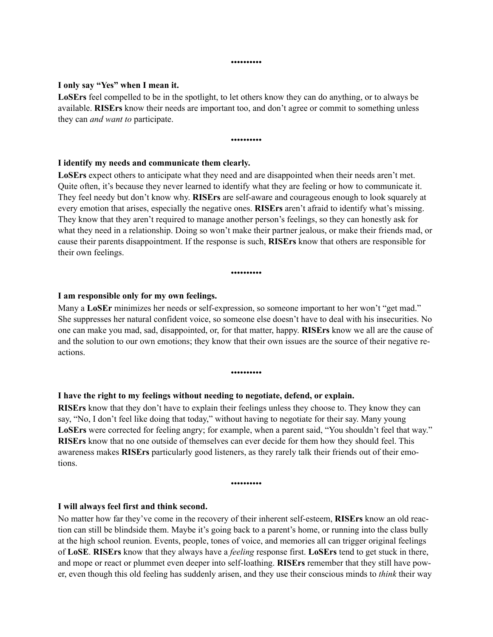#### ••••••••••

#### **I only say "Yes" when I mean it.**

**LoSErs** feel compelled to be in the spotlight, to let others know they can do anything, or to always be available. **RISErs** know their needs are important too, and don't agree or commit to something unless they can *and want to* participate.

#### ••••••••••

#### **I identify my needs and communicate them clearly.**

LoSErs expect others to anticipate what they need and are disappointed when their needs aren't met. Quite often, it's because they never learned to identify what they are feeling or how to communicate it. They feel needy but don't know why. **RISErs** are self-aware and courageous enough to look squarely at every emotion that arises, especially the negative ones. **RISErs** aren't afraid to identify what's missing. They know that they aren't required to manage another person's feelings, so they can honestly ask for what they need in a relationship. Doing so won't make their partner jealous, or make their friends mad, or cause their parents disappointment. If the response is such, **RISErs** know that others are responsible for their own feelings.

#### ••••••••••

#### **I am responsible only for my own feelings.**

Many a **LoSEr** minimizes her needs or self-expression, so someone important to her won't "get mad." She suppresses her natural confident voice, so someone else doesn't have to deal with his insecurities. No one can make you mad, sad, disappointed, or, for that matter, happy. **RISErs** know we all are the cause of and the solution to our own emotions; they know that their own issues are the source of their negative reactions.

••••••••••

#### **I have the right to my feelings without needing to negotiate, defend, or explain.**

**RISErs** know that they don't have to explain their feelings unless they choose to. They know they can say, "No, I don't feel like doing that today," without having to negotiate for their say. Many young **LoSErs** were corrected for feeling angry; for example, when a parent said, "You shouldn't feel that way." **RISErs** know that no one outside of themselves can ever decide for them how they should feel. This awareness makes **RISErs** particularly good listeners, as they rarely talk their friends out of their emotions.

#### ••••••••••

#### **I will always feel first and think second.**

No matter how far they've come in the recovery of their inherent self-esteem, **RISErs** know an old reaction can still be blindside them. Maybe it's going back to a parent's home, or running into the class bully at the high school reunion. Events, people, tones of voice, and memories all can trigger original feelings of **LoSE**. **RISErs** know that they always have a *feeling* response first. **LoSErs** tend to get stuck in there, and mope or react or plummet even deeper into self-loathing. **RISErs** remember that they still have power, even though this old feeling has suddenly arisen, and they use their conscious minds to *think* their way